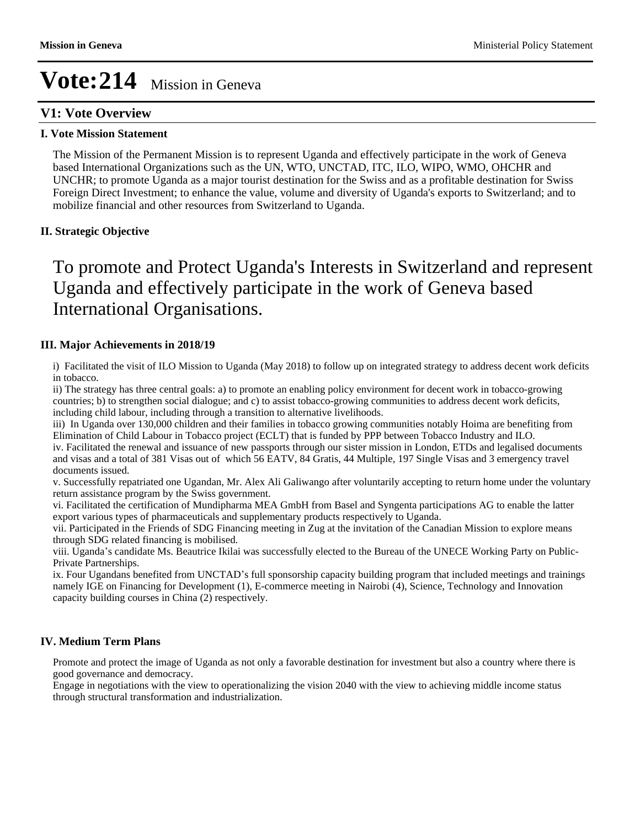# **V1: Vote Overview**

### **I. Vote Mission Statement**

The Mission of the Permanent Mission is to represent Uganda and effectively participate in the work of Geneva based International Organizations such as the UN, WTO, UNCTAD, ITC, ILO, WIPO, WMO, OHCHR and UNCHR; to promote Uganda as a major tourist destination for the Swiss and as a profitable destination for Swiss Foreign Direct Investment; to enhance the value, volume and diversity of Uganda's exports to Switzerland; and to mobilize financial and other resources from Switzerland to Uganda.

# **II. Strategic Objective**

# To promote and Protect Uganda's Interests in Switzerland and represent Uganda and effectively participate in the work of Geneva based International Organisations.

# **III. Major Achievements in 2018/19**

i) Facilitated the visit of ILO Mission to Uganda (May 2018) to follow up on integrated strategy to address decent work deficits in tobacco.

ii) The strategy has three central goals: a) to promote an enabling policy environment for decent work in tobacco-growing countries; b) to strengthen social dialogue; and c) to assist tobacco-growing communities to address decent work deficits, including child labour, including through a transition to alternative livelihoods.

iii) In Uganda over 130,000 children and their families in tobacco growing communities notably Hoima are benefiting from Elimination of Child Labour in Tobacco project (ECLT) that is funded by PPP between Tobacco Industry and ILO.

iv. Facilitated the renewal and issuance of new passports through our sister mission in London, ETDs and legalised documents and visas and a total of 381 Visas out of which 56 EATV, 84 Gratis, 44 Multiple, 197 Single Visas and 3 emergency travel documents issued.

v. Successfully repatriated one Ugandan, Mr. Alex Ali Galiwango after voluntarily accepting to return home under the voluntary return assistance program by the Swiss government.

vi. Facilitated the certification of Mundipharma MEA GmbH from Basel and Syngenta participations AG to enable the latter export various types of pharmaceuticals and supplementary products respectively to Uganda.

vii. Participated in the Friends of SDG Financing meeting in Zug at the invitation of the Canadian Mission to explore means through SDG related financing is mobilised.

viii. Uganda's candidate Ms. Beautrice Ikilai was successfully elected to the Bureau of the UNECE Working Party on Public-Private Partnerships.

ix. Four Ugandans benefited from UNCTAD's full sponsorship capacity building program that included meetings and trainings namely IGE on Financing for Development (1), E-commerce meeting in Nairobi (4), Science, Technology and Innovation capacity building courses in China (2) respectively.

# **IV. Medium Term Plans**

Promote and protect the image of Uganda as not only a favorable destination for investment but also a country where there is good governance and democracy.

Engage in negotiations with the view to operationalizing the vision 2040 with the view to achieving middle income status through structural transformation and industrialization.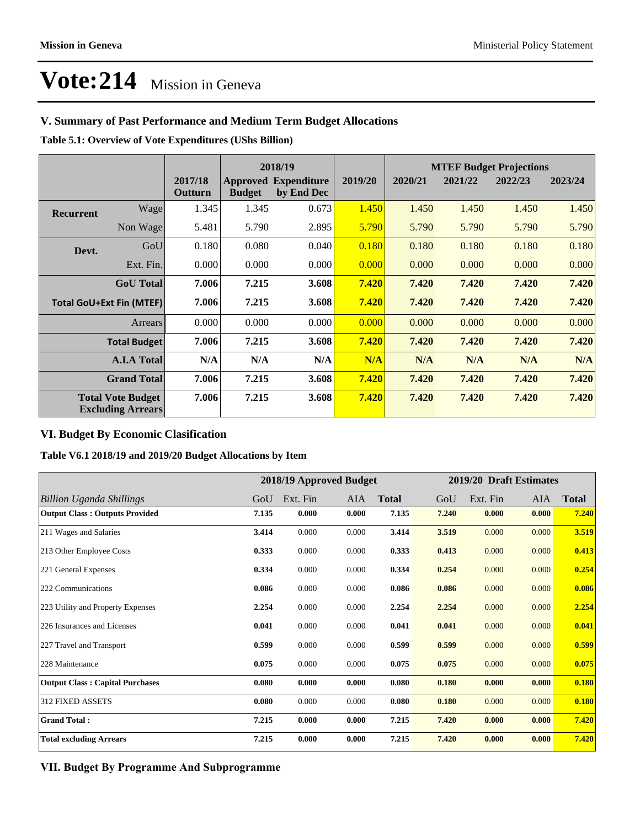# **V. Summary of Past Performance and Medium Term Budget Allocations**

**Table 5.1: Overview of Vote Expenditures (UShs Billion)**

|                                                      |                  |                    |               | 2018/19                                   |         | <b>MTEF Budget Projections</b> |         |         |         |
|------------------------------------------------------|------------------|--------------------|---------------|-------------------------------------------|---------|--------------------------------|---------|---------|---------|
|                                                      |                  | 2017/18<br>Outturn | <b>Budget</b> | <b>Approved Expenditure</b><br>by End Dec | 2019/20 | 2020/21                        | 2021/22 | 2022/23 | 2023/24 |
| <b>Recurrent</b>                                     | Wagel            | 1.345              | 1.345         | 0.673                                     | 1.450   | 1.450                          | 1.450   | 1.450   | 1.450   |
|                                                      | Non Wage         | 5.481              | 5.790         | 2.895                                     | 5.790   | 5.790                          | 5.790   | 5.790   | 5.790   |
| Devt.                                                | GoU              | 0.180              | 0.080         | 0.040                                     | 0.180   | 0.180                          | 0.180   | 0.180   | 0.180   |
|                                                      | Ext. Fin.        | 0.000              | 0.000         | 0.000                                     | 0.000   | 0.000                          | 0.000   | 0.000   | 0.000   |
|                                                      | <b>GoU</b> Total | 7.006              | 7.215         | 3.608                                     | 7.420   | 7.420                          | 7.420   | 7.420   | 7.420   |
| <b>Total GoU+Ext Fin (MTEF)</b>                      |                  | 7.006              | 7.215         | 3.608                                     | 7.420   | 7.420                          | 7.420   | 7.420   | 7.420   |
| Arrears                                              |                  | 0.000              | 0.000         | 0.000                                     | 0.000   | 0.000                          | 0.000   | 0.000   | 0.000   |
| <b>Total Budget</b>                                  |                  | 7.006              | 7.215         | 3.608                                     | 7.420   | 7.420                          | 7.420   | 7.420   | 7.420   |
| <b>A.I.A Total</b>                                   |                  | N/A                | N/A           | N/A                                       | N/A     | N/A                            | N/A     | N/A     | N/A     |
| <b>Grand Total</b>                                   |                  | 7.006              | 7.215         | 3.608                                     | 7.420   | 7.420                          | 7.420   | 7.420   | 7.420   |
| <b>Total Vote Budget</b><br><b>Excluding Arrears</b> |                  | 7.006              | 7.215         | 3.608                                     | 7.420   | 7.420                          | 7.420   | 7.420   | 7.420   |

# **VI. Budget By Economic Clasification**

#### **Table V6.1 2018/19 and 2019/20 Budget Allocations by Item**

|                                        | 2018/19 Approved Budget |          |            | 2019/20 Draft Estimates |       |          |            |              |
|----------------------------------------|-------------------------|----------|------------|-------------------------|-------|----------|------------|--------------|
| <b>Billion Uganda Shillings</b>        | GoU                     | Ext. Fin | <b>AIA</b> | <b>Total</b>            | GoU   | Ext. Fin | <b>AIA</b> | <b>Total</b> |
| <b>Output Class: Outputs Provided</b>  | 7.135                   | 0.000    | 0.000      | 7.135                   | 7.240 | 0.000    | 0.000      | 7.240        |
| 211 Wages and Salaries                 | 3.414                   | 0.000    | 0.000      | 3.414                   | 3.519 | 0.000    | 0.000      | 3.519        |
| 213 Other Employee Costs               | 0.333                   | 0.000    | 0.000      | 0.333                   | 0.413 | 0.000    | 0.000      | 0.413        |
| 221 General Expenses                   | 0.334                   | 0.000    | 0.000      | 0.334                   | 0.254 | 0.000    | 0.000      | 0.254        |
| 222 Communications                     | 0.086                   | 0.000    | 0.000      | 0.086                   | 0.086 | 0.000    | 0.000      | 0.086        |
| 223 Utility and Property Expenses      | 2.254                   | 0.000    | 0.000      | 2.254                   | 2.254 | 0.000    | 0.000      | 2.254        |
| 226 Insurances and Licenses            | 0.041                   | 0.000    | 0.000      | 0.041                   | 0.041 | 0.000    | 0.000      | 0.041        |
| 227 Travel and Transport               | 0.599                   | 0.000    | 0.000      | 0.599                   | 0.599 | 0.000    | 0.000      | 0.599        |
| 228 Maintenance                        | 0.075                   | 0.000    | 0.000      | 0.075                   | 0.075 | 0.000    | 0.000      | 0.075        |
| <b>Output Class: Capital Purchases</b> | 0.080                   | 0.000    | 0.000      | 0.080                   | 0.180 | 0.000    | 0.000      | 0.180        |
| 312 FIXED ASSETS                       | 0.080                   | 0.000    | 0.000      | 0.080                   | 0.180 | 0.000    | 0.000      | 0.180        |
| <b>Grand Total:</b>                    | 7.215                   | 0.000    | 0.000      | 7.215                   | 7.420 | 0.000    | 0.000      | 7.420        |
| <b>Total excluding Arrears</b>         | 7.215                   | 0.000    | 0.000      | 7.215                   | 7.420 | 0.000    | 0.000      | 7.420        |

### **VII. Budget By Programme And Subprogramme**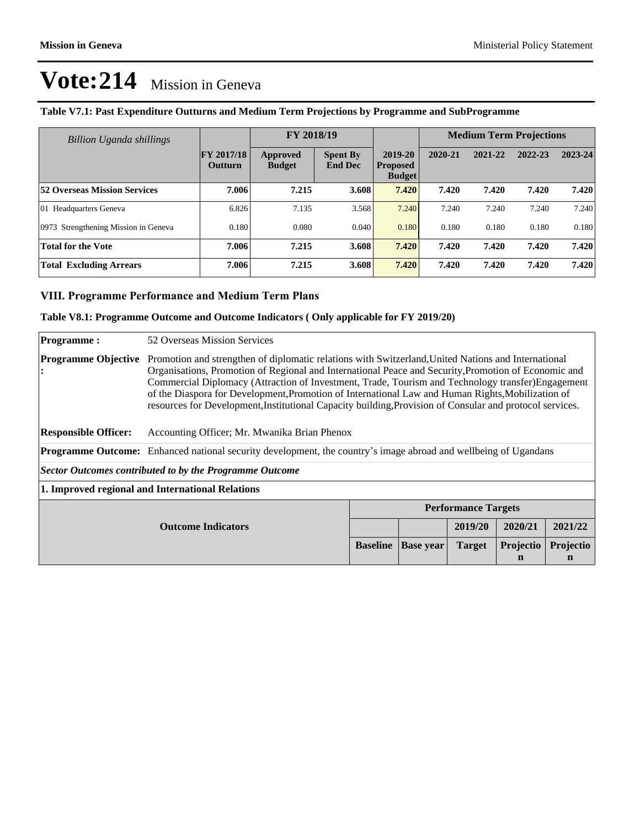| Billion Uganda shillings             |                                     | FY 2018/19                |                                   |                                             | <b>Medium Term Projections</b> |         |         |         |
|--------------------------------------|-------------------------------------|---------------------------|-----------------------------------|---------------------------------------------|--------------------------------|---------|---------|---------|
|                                      | <b>FY 2017/18</b><br><b>Outturn</b> | Approved<br><b>Budget</b> | <b>Spent By</b><br><b>End Dec</b> | 2019-20<br><b>Proposed</b><br><b>Budget</b> | 2020-21                        | 2021-22 | 2022-23 | 2023-24 |
| <b>52 Overseas Mission Services</b>  | 7.006                               | 7.215                     | 3.608                             | 7.420                                       | 7.420                          | 7.420   | 7.420   | 7.420   |
| 01 Headquarters Geneva               | 6.826                               | 7.135                     | 3.568                             | 7.240                                       | 7.240                          | 7.240   | 7.240   | 7.240   |
| 0973 Strengthening Mission in Geneva | 0.180                               | 0.080                     | 0.040                             | 0.180                                       | 0.180                          | 0.180   | 0.180   | 0.180   |
| <b>Total for the Vote</b>            | 7.006                               | 7.215                     | 3.608                             | 7.420                                       | 7.420                          | 7.420   | 7.420   | 7.420   |
| <b>Total Excluding Arrears</b>       | 7.006                               | 7.215                     | 3.608                             | 7.420                                       | 7.420                          | 7.420   | 7.420   | 7.420   |

# **Table V7.1: Past Expenditure Outturns and Medium Term Projections by Programme and SubProgramme**

### **VIII. Programme Performance and Medium Term Plans**

### **Table V8.1: Programme Outcome and Outcome Indicators ( Only applicable for FY 2019/20)**

| <b>Programme:</b>                                              | 52 Overseas Mission Services                                                                                                                                                                                                                                                                                                                                                                                                                                                                                                       |                                                                                                    |  |         |         |         |  |  |
|----------------------------------------------------------------|------------------------------------------------------------------------------------------------------------------------------------------------------------------------------------------------------------------------------------------------------------------------------------------------------------------------------------------------------------------------------------------------------------------------------------------------------------------------------------------------------------------------------------|----------------------------------------------------------------------------------------------------|--|---------|---------|---------|--|--|
| <b>Programme Objective</b>                                     | Promotion and strengthen of diplomatic relations with Switzerland, United Nations and International<br>Organisations, Promotion of Regional and International Peace and Security, Promotion of Economic and<br>Commercial Diplomacy (Attraction of Investment, Trade, Tourism and Technology transfer) Engagement<br>of the Diaspora for Development, Promotion of International Law and Human Rights, Mobilization of<br>resources for Development, Institutional Capacity building, Provision of Consular and protocol services. |                                                                                                    |  |         |         |         |  |  |
| <b>Responsible Officer:</b>                                    | Accounting Officer; Mr. Mwanika Brian Phenox                                                                                                                                                                                                                                                                                                                                                                                                                                                                                       |                                                                                                    |  |         |         |         |  |  |
|                                                                | <b>Programme Outcome:</b> Enhanced national security development, the country's image abroad and wellbeing of Ugandans                                                                                                                                                                                                                                                                                                                                                                                                             |                                                                                                    |  |         |         |         |  |  |
| <b>Sector Outcomes contributed to by the Programme Outcome</b> |                                                                                                                                                                                                                                                                                                                                                                                                                                                                                                                                    |                                                                                                    |  |         |         |         |  |  |
| 1. Improved regional and International Relations               |                                                                                                                                                                                                                                                                                                                                                                                                                                                                                                                                    |                                                                                                    |  |         |         |         |  |  |
|                                                                | <b>Performance Targets</b>                                                                                                                                                                                                                                                                                                                                                                                                                                                                                                         |                                                                                                    |  |         |         |         |  |  |
| <b>Outcome Indicators</b>                                      |                                                                                                                                                                                                                                                                                                                                                                                                                                                                                                                                    |                                                                                                    |  | 2019/20 | 2020/21 | 2021/22 |  |  |
|                                                                |                                                                                                                                                                                                                                                                                                                                                                                                                                                                                                                                    | Projectio<br>Projectio<br><b>Baseline</b><br><b>Target</b><br><b>Base year</b><br>$\mathbf n$<br>n |  |         |         |         |  |  |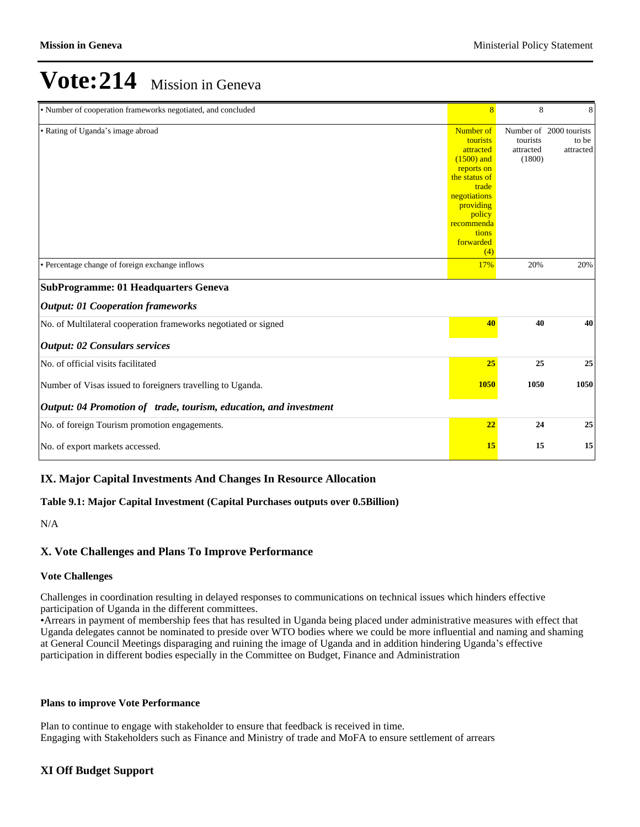| • Number of cooperation frameworks negotiated, and concluded      | $\overline{8}$                                                                                                                                                               | 8                               | 8                                             |
|-------------------------------------------------------------------|------------------------------------------------------------------------------------------------------------------------------------------------------------------------------|---------------------------------|-----------------------------------------------|
| • Rating of Uganda's image abroad                                 | Number of<br>tourists<br>attracted<br>$(1500)$ and<br>reports on<br>the status of<br>trade<br>negotiations<br>providing<br>policy<br>recommenda<br>tions<br>forwarded<br>(4) | tourists<br>attracted<br>(1800) | Number of 2000 tourists<br>to be<br>attracted |
| • Percentage change of foreign exchange inflows                   | 17%                                                                                                                                                                          | 20%                             | 20%                                           |
| <b>SubProgramme: 01 Headquarters Geneva</b>                       |                                                                                                                                                                              |                                 |                                               |
| <b>Output: 01 Cooperation frameworks</b>                          |                                                                                                                                                                              |                                 |                                               |
| No. of Multilateral cooperation frameworks negotiated or signed   | 40                                                                                                                                                                           | 40                              | 40                                            |
| <b>Output: 02 Consulars services</b>                              |                                                                                                                                                                              |                                 |                                               |
| No. of official visits facilitated                                | 25                                                                                                                                                                           | 25                              | 25                                            |
| Number of Visas issued to foreigners travelling to Uganda.        | <b>1050</b>                                                                                                                                                                  | 1050                            | 1050                                          |
| Output: 04 Promotion of trade, tourism, education, and investment |                                                                                                                                                                              |                                 |                                               |
| No. of foreign Tourism promotion engagements.                     | 22                                                                                                                                                                           | 24                              | 25                                            |
| No. of export markets accessed.                                   | 15                                                                                                                                                                           | 15                              | 15                                            |

### **IX. Major Capital Investments And Changes In Resource Allocation**

#### **Table 9.1: Major Capital Investment (Capital Purchases outputs over 0.5Billion)**

N/A

### **X. Vote Challenges and Plans To Improve Performance**

#### **Vote Challenges**

Challenges in coordination resulting in delayed responses to communications on technical issues which hinders effective participation of Uganda in the different committees.

Arrears in payment of membership fees that has resulted in Uganda being placed under administrative measures with effect that Uganda delegates cannot be nominated to preside over WTO bodies where we could be more influential and naming and shaming at General Council Meetings disparaging and ruining the image of Uganda and in addition hindering Uganda's effective participation in different bodies especially in the Committee on Budget, Finance and Administration

#### **Plans to improve Vote Performance**

Plan to continue to engage with stakeholder to ensure that feedback is received in time. Engaging with Stakeholders such as Finance and Ministry of trade and MoFA to ensure settlement of arrears

### **XI Off Budget Support**